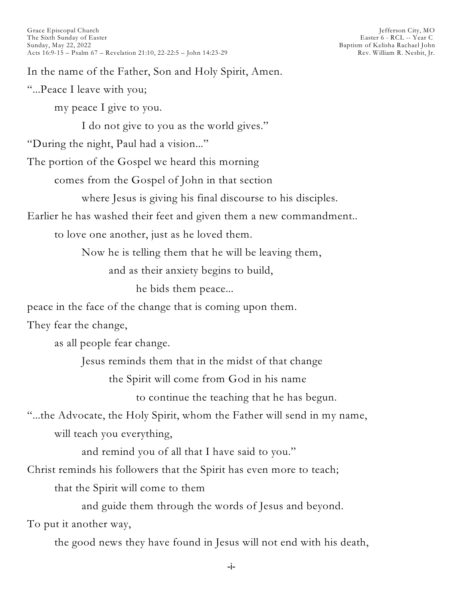In the name of the Father, Son and Holy Spirit, Amen.

"...Peace I leave with you;

my peace I give to you.

I do not give to you as the world gives."

"During the night, Paul had a vision..."

The portion of the Gospel we heard this morning

comes from the Gospel of John in that section

where Jesus is giving his final discourse to his disciples.

Earlier he has washed their feet and given them a new commandment..

to love one another, just as he loved them.

Now he is telling them that he will be leaving them,

and as their anxiety begins to build,

he bids them peace...

peace in the face of the change that is coming upon them.

They fear the change,

as all people fear change.

Jesus reminds them that in the midst of that change

the Spirit will come from God in his name

to continue the teaching that he has begun.

"...the Advocate, the Holy Spirit, whom the Father will send in my name, will teach you everything,

and remind you of all that I have said to you."

Christ reminds his followers that the Spirit has even more to teach;

that the Spirit will come to them

and guide them through the words of Jesus and beyond.

To put it another way,

the good news they have found in Jesus will not end with his death,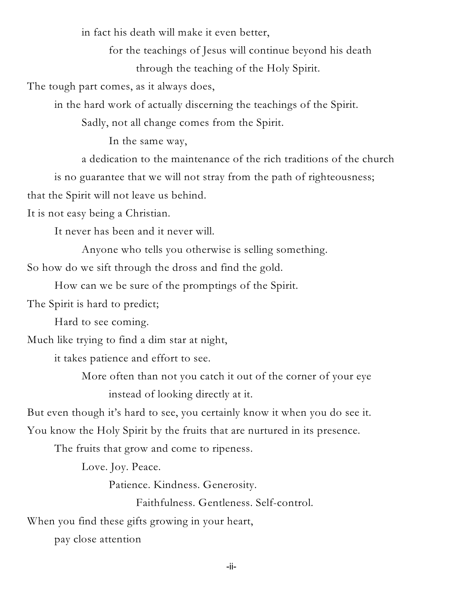in fact his death will make it even better,

for the teachings of Jesus will continue beyond his death

through the teaching of the Holy Spirit.

The tough part comes, as it always does,

in the hard work of actually discerning the teachings of the Spirit.

Sadly, not all change comes from the Spirit.

In the same way,

a dedication to the maintenance of the rich traditions of the church

is no guarantee that we will not stray from the path of righteousness;

that the Spirit will not leave us behind.

It is not easy being a Christian.

It never has been and it never will.

Anyone who tells you otherwise is selling something.

So how do we sift through the dross and find the gold.

How can we be sure of the promptings of the Spirit.

The Spirit is hard to predict;

Hard to see coming.

Much like trying to find a dim star at night,

it takes patience and effort to see.

More often than not you catch it out of the corner of your eye instead of looking directly at it.

But even though it's hard to see, you certainly know it when you do see it.

You know the Holy Spirit by the fruits that are nurtured in its presence.

The fruits that grow and come to ripeness.

Love. Joy. Peace.

Patience. Kindness. Generosity.

Faithfulness. Gentleness. Self-control.

When you find these gifts growing in your heart,

pay close attention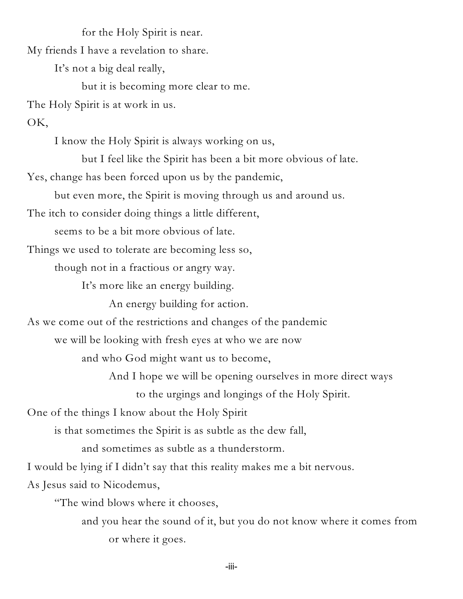for the Holy Spirit is near.

My friends I have a revelation to share.

It's not a big deal really,

but it is becoming more clear to me.

The Holy Spirit is at work in us.

OK,

I know the Holy Spirit is always working on us,

but I feel like the Spirit has been a bit more obvious of late.

Yes, change has been forced upon us by the pandemic,

but even more, the Spirit is moving through us and around us.

The itch to consider doing things a little different,

seems to be a bit more obvious of late.

Things we used to tolerate are becoming less so,

though not in a fractious or angry way.

It's more like an energy building.

An energy building for action.

As we come out of the restrictions and changes of the pandemic

we will be looking with fresh eyes at who we are now

and who God might want us to become,

And I hope we will be opening ourselves in more direct ways to the urgings and longings of the Holy Spirit.

One of the things I know about the Holy Spirit

is that sometimes the Spirit is as subtle as the dew fall,

and sometimes as subtle as a thunderstorm.

I would be lying if I didn't say that this reality makes me a bit nervous.

As Jesus said to Nicodemus,

"The wind blows where it chooses,

and you hear the sound of it, but you do not know where it comes from or where it goes.

-iii-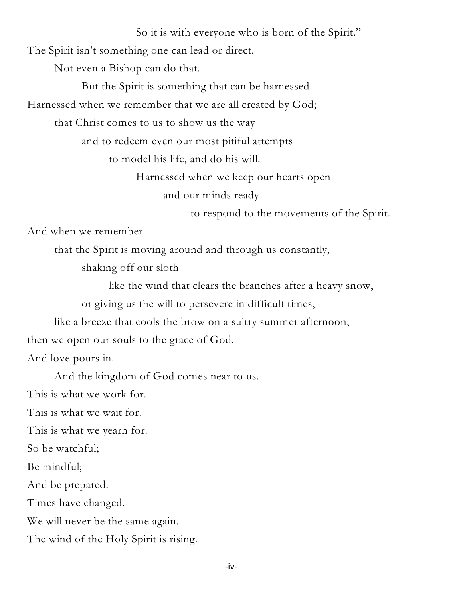So it is with everyone who is born of the Spirit."

The Spirit isn't something one can lead or direct.

Not even a Bishop can do that.

But the Spirit is something that can be harnessed.

Harnessed when we remember that we are all created by God;

that Christ comes to us to show us the way

and to redeem even our most pitiful attempts

to model his life, and do his will.

Harnessed when we keep our hearts open

and our minds ready

to respond to the movements of the Spirit.

And when we remember

that the Spirit is moving around and through us constantly,

shaking off our sloth

like the wind that clears the branches after a heavy snow,

or giving us the will to persevere in difficult times,

like a breeze that cools the brow on a sultry summer afternoon, then we open our souls to the grace of God.

And love pours in.

And the kingdom of God comes near to us.

This is what we work for.

This is what we wait for.

This is what we yearn for.

So be watchful;

Be mindful;

And be prepared.

Times have changed.

We will never be the same again.

The wind of the Holy Spirit is rising.